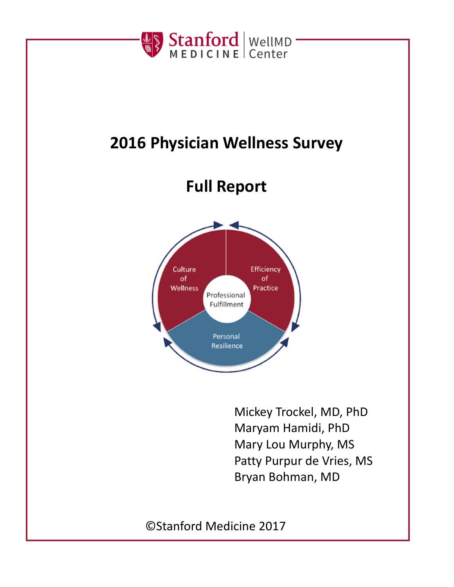

# **2016 Physician Wellness Survey**

# **Full Report**



Mickey Trockel, MD, PhD Maryam Hamidi, PhD Mary Lou Murphy, MS Patty Purpur de Vries, MS Bryan Bohman, MD

©Stanford Medicine 2017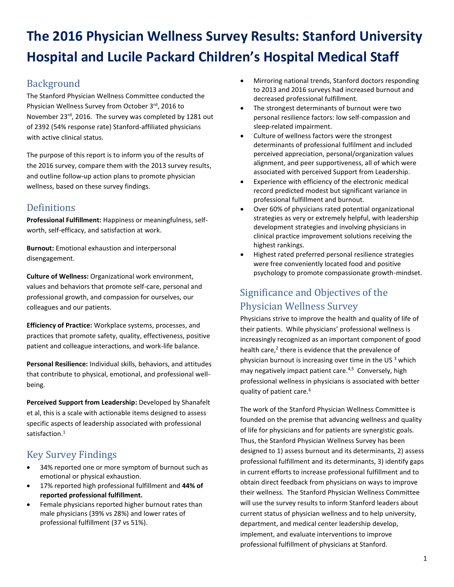# **The 2016 Physician Wellness Survey Results: Stanford University Hospital and Lucile Packard Children's Hospital Medical Staff**

## **Background**

The Stanford Physician Wellness Committee conducted the Physician Wellness Survey from October 3rd, 2016 to November 23<sup>rd</sup>, 2016. The survey was completed by 1281 out of 2392 (54% response rate) Stanford-affiliated physicians with active clinical status.

The purpose of this report is to inform you of the results of the 2016 survey, compare them with the 2013 survey results, and outline follow-up action plans to promote physician wellness, based on these survey findings.

## **Definitions**

**Professional Fulfillment:** Happiness or meaningfulness, selfworth, self-efficacy, and satisfaction at work.

**Burnout:** Emotional exhaustion and interpersonal disengagement.

**Culture of Wellness:** Organizational work environment, values and behaviors that promote self-care, personal and professional growth, and compassion for ourselves, our colleagues and our patients.

**Efficiency of Practice:** Workplace systems, processes, and practices that promote safety, quality, effectiveness, positive patient and colleague interactions, and work-life balance.

**Personal Resilience:** Individual skills, behaviors, and attitudes that contribute to physical, emotional, and professional wellbeing.

**Perceived Support from Leadership:** Developed by Shanafelt et al, this is a scale with actionable items designed to assess specific aspects of leadership associated with professional satisfaction. [1](#page-7-0)

# Key Survey Findings

- 34% reported one or more symptom of burnout such as emotional or physical exhaustion.
- 17% reported high professional fulfillment and **44% of reported professional fulfillment.**
- Female physicians reported higher burnout rates than male physicians (39% vs 28%) and lower rates of professional fulfillment (37 vs 51%).
- Mirroring national trends, Stanford doctors responding to 2013 and 2016 surveys had increased burnout and decreased professional fulfillment.
- The strongest determinants of burnout were two personal resilience factors: low self-compassion and sleep-related impairment.
- Culture of wellness factors were the strongest determinants of professional fulfilment and included perceived appreciation, personal/organization values alignment, and peer supportiveness, all of which were associated with perceived Support from Leadership.
- Experience with efficiency of the electronic medical record predicted modest but significant variance in professional fulfillment and burnout.
- Over 60% of physicians rated potential organizational strategies as very or extremely helpful, with leadership development strategies and involving physicians in clinical practice improvement solutions receiving the highest rankings.
- Highest rated preferred personal resilience strategies were free conveniently located food and positive psychology to promote compassionate growth-mindset.

# Significance and Objectives of the Physician Wellness Survey

Physicians strive to improve the health and quality of life of their patients. While physicians' professional wellness is increasingly recognized as an important component of good health care[,](#page-7-1)<sup>2</sup> there is evidence that the prevalence of physician burnout is increasing over time in the U[S](#page-7-2)  $3$  which may negatively impact patient care.<sup>[4,](#page-7-3)[5](#page-7-4)</sup> Conversely, high professional wellness in physicians is associated with better quality of patient care. 6 

The work of the Stanford Physician Wellness Committee is founded on the premise that advancing wellness and quality of life for physicians and for patients are synergistic goals. Thus, the Stanford Physician Wellness Survey has been designed to 1) assess burnout and its determinants, 2) assess professional fulfillment and its determinants, 3) identify gaps in current efforts to increase professional fulfillment and to obtain direct feedback from physicians on ways to improve their wellness. The Stanford Physician Wellness Committee will use the survey results to inform Stanford leaders about current status of physician wellness and to help university, department, and medical center leadership develop, implement, and evaluate interventions to improve professional fulfillment of physicians at Stanford.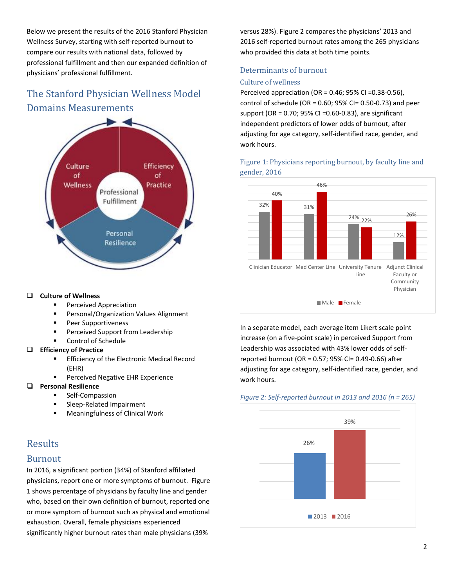Below we present the results of the 2016 Stanford Physician Wellness Survey, starting with self-reported burnout to compare our results with national data, followed by professional fulfillment and then our expanded definition of physicians' professional fulfillment.

# The Stanford Physician Wellness Model Domains Measurements



### **Culture of Wellness**

- Perceived Appreciation
- Personal/Organization Values Alignment
- **Peer Supportiveness**
- **Perceived Support from Leadership**
- Control of Schedule

#### **Efficiency of Practice**

- Efficiency of the Electronic Medical Record (EHR)
- **Perceived Negative EHR Experience**

### **Personal Resilience**

- Self-Compassion
- Sleep-Related Impairment
- Meaningfulness of Clinical Work

## **Results**

## Burnout

In 2016, a significant portion (34%) of Stanford affiliated physicians, report one or more symptoms of burnout. Figure 1 shows percentage of physicians by faculty line and gender who, based on their own definition of burnout, reported one or more symptom of burnout such as physical and emotional exhaustion. Overall, female physicians experienced significantly higher burnout rates than male physicians (39%

versus 28%). Figure 2 compares the physicians' 2013 and 2016 self-reported burnout rates among the 265 physicians who provided this data at both time points.

## Determinants of burnout

### Culture of wellness

Perceived appreciation (OR = 0.46; 95% CI =0.38-0.56), control of schedule (OR =  $0.60$ ;  $95%$  CI=  $0.50-0.73$ ) and peer support (OR = 0.70; 95% CI =0.60-0.83), are significant independent predictors of lower odds of burnout, after adjusting for age category, self-identified race, gender, and work hours.

## Figure 1: Physicians reporting burnout, by faculty line and gender, 2016



In a separate model, each average item Likert scale point increase (on a five-point scale) in perceived Support from Leadership was associated with 43% lower odds of selfreported burnout (OR = 0.57; 95% CI= 0.49-0.66) after adjusting for age category, self-identified race, gender, and work hours.

#### *Figure 2: Self-reported burnout in 2013 and 2016 (n = 265)*

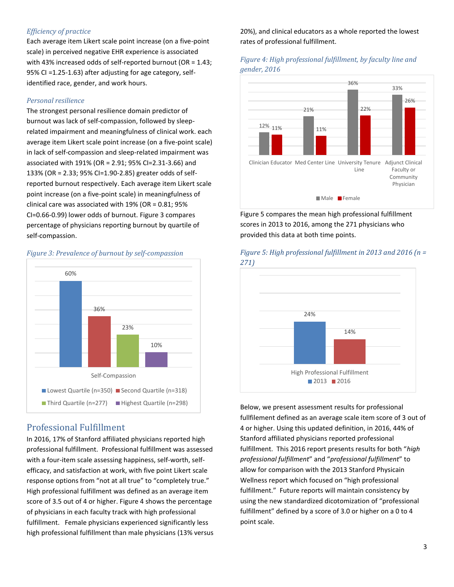## *Efficiency of practice*

Each average item Likert scale point increase (on a five-point scale) in perceived negative EHR experience is associated with 43% increased odds of self-reported burnout (OR = 1.43; 95% CI =1.25-1.63) after adjusting for age category, selfidentified race, gender, and work hours.

#### *Personal resilience*

The strongest personal resilience domain predictor of burnout was lack of self-compassion, followed by sleeprelated impairment and meaningfulness of clinical work. each average item Likert scale point increase (on a five-point scale) in lack of self-compassion and sleep-related impairment was associated with 191% (OR = 2.91; 95% CI=2.31-3.66) and 133% (OR = 2.33; 95% CI=1.90-2.85) greater odds of selfreported burnout respectively. Each average item Likert scale point increase (on a five-point scale) in meaningfulness of clinical care was associated with 19% (OR = 0.81; 95% CI=0.66-0.99) lower odds of burnout. Figure 3 compares percentage of physicians reporting burnout by quartile of self-compassion.



#### *Figure 3: Prevalence of burnout by self-compassion*

## Professional Fulfillment

In 2016, 17% of Stanford affiliated physicians reported high professional fulfillment. Professional fulfillment was assessed with a four-item scale assessing happiness, self-worth, selfefficacy, and satisfaction at work, with five point Likert scale response options from "not at all true" to "completely true." High professional fulfillment was defined as an average item score of 3.5 out of 4 or higher. Figure 4 shows the percentage of physicians in each faculty track with high professional fulfillment. Female physicians experienced significantly less high professional fulfillment than male physicians (13% versus

## 20%), and clinical educators as a whole reported the lowest rates of professional fulfillment.

## *Figure 4: High professional fulfillment, by faculty line and gender, 2016*



Figure 5 compares the mean high professional fulfillment scores in 2013 to 2016, among the 271 physicians who provided this data at both time points.



*Figure 5: High professional fulfillment in 2013 and 2016 (n = 271)*

Below, we present assessment results for professional fullfilement defined as an average scale item score of 3 out of 4 or higher. Using this updated definition, in 2016, 44% of Stanford affiliated physicians reported professional fulfillment. This 2016 report presents results for both "*high professional fulfillment*" and "*professional fulfillment*" to allow for comparison with the 2013 Stanford Physicain Wellness report which focused on "high professional fulfillment." Future reports will maintain consistency by using the new standardized dicotomization of "professional fulfillment" defined by a score of 3.0 or higher on a 0 to 4 point scale.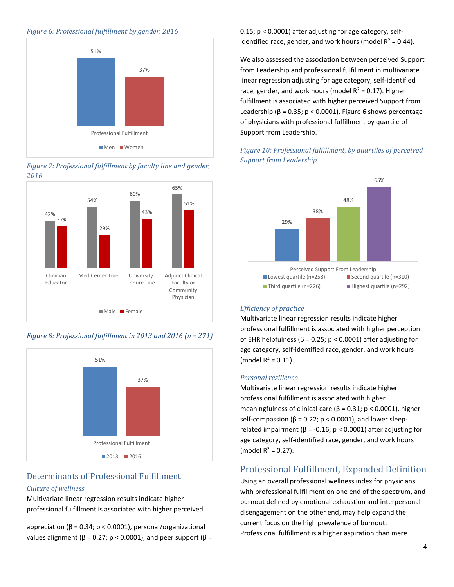#### *Figure 6: Professional fulfillment by gender, 2016*



*Figure 7: Professional fulfillment by faculty line and gender, 2016*



*Figure 8: Professional fulfillment in 2013 and 2016 (n = 271)*



## Determinants of Professional Fulfillment *Culture of wellness*

Multivariate linear regression results indicate higher professional fulfillment is associated with higher perceived

appreciation (β = 0.34; p < 0.0001), personal/organizational values alignment ( $β = 0.27$ ;  $p < 0.0001$ ), and peer support ( $β =$  0.15; p < 0.0001) after adjusting for age category, selfidentified race, gender, and work hours (model  $R^2 = 0.44$ ).

We also assessed the association between perceived Support from Leadership and professional fulfillment in multivariate linear regression adjusting for age category, self-identified race, gender, and work hours (model  $R^2 = 0.17$ ). Higher fulfillment is associated with higher perceived Support from Leadership ( $β = 0.35$ ;  $p < 0.0001$ ). Figure 6 shows percentage of physicians with professional fulfillment by quartile of Support from Leadership.





#### *Efficiency of practice*

Multivariate linear regression results indicate higher professional fulfillment is associated with higher perception of EHR helpfulness (β = 0.25; p < 0.0001) after adjusting for age category, self-identified race, gender, and work hours (model  $R^2 = 0.11$ ).

#### *Personal resilience*

Multivariate linear regression results indicate higher professional fulfillment is associated with higher meaningfulness of clinical care ( $\beta$  = 0.31; p < 0.0001), higher self-compassion ( $\beta$  = 0.22; p < 0.0001), and lower sleeprelated impairment ( $β = -0.16$ ;  $p < 0.0001$ ) after adjusting for age category, self-identified race, gender, and work hours (model  $R^2 = 0.27$ ).

## Professional Fulfillment, Expanded Definition

Using an overall professional wellness index for physicians, with professional fulfillment on one end of the spectrum, and burnout defined by emotional exhaustion and interpersonal disengagement on the other end, may help expand the current focus on the high prevalence of burnout. Professional fulfillment is a higher aspiration than mere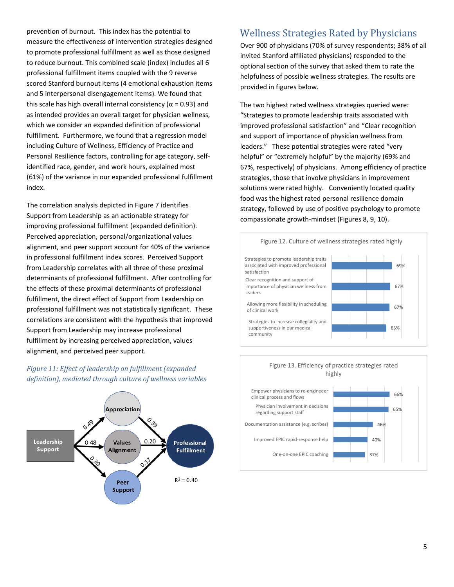prevention of burnout. This index has the potential to measure the effectiveness of intervention strategies designed to promote professional fulfillment as well as those designed to reduce burnout. This combined scale (index) includes all 6 professional fulfillment items coupled with the 9 reverse scored Stanford burnout items (4 emotional exhaustion items and 5 interpersonal disengagement items). We found that this scale has high overall internal consistency ( $\alpha$  = 0.93) and as intended provides an overall target for physician wellness, which we consider an expanded definition of professional fulfillment. Furthermore, we found that a regression model including Culture of Wellness, Efficiency of Practice and Personal Resilience factors, controlling for age category, selfidentified race, gender, and work hours, explained most (61%) of the variance in our expanded professional fulfillment index.

The correlation analysis depicted in Figure 7 identifies Support from Leadership as an actionable strategy for improving professional fulfillment (expanded definition). Perceived appreciation, personal/organizational values alignment, and peer support account for 40% of the variance in professional fulfillment index scores. Perceived Support from Leadership correlates with all three of these proximal determinants of professional fulfillment. After controlling for the effects of these proximal determinants of professional fulfillment, the direct effect of Support from Leadership on professional fulfillment was not statistically significant. These correlations are consistent with the hypothesis that improved Support from Leadership may increase professional fulfillment by increasing perceived appreciation, values alignment, and perceived peer support.

## *Figure 11: Effect of leadership on fulfillment (expanded definition), mediated through culture of wellness variables*



## Wellness Strategies Rated by Physicians

Over 900 of physicians (70% of survey respondents; 38% of all invited Stanford affiliated physicians) responded to the optional section of the survey that asked them to rate the helpfulness of possible wellness strategies. The results are provided in figures below.

The two highest rated wellness strategies queried were: "Strategies to promote leadership traits associated with improved professional satisfaction" and "Clear recognition and support of importance of physician wellness from leaders." These potential strategies were rated "very helpful" or "extremely helpful" by the majority (69% and 67%, respectively) of physicians. Among efficiency of practice strategies, those that involve physicians in improvement solutions were rated highly. Conveniently located quality food was the highest rated personal resilience domain strategy, followed by use of positive psychology to promote compassionate growth-mindset (Figures 8, 9, 10).



#### Figure 13. Efficiency of practice strategies rated highly

One-on-one EPIC coaching Improved EPIC rapid-response help Documentation assistance (e.g. scribes) Physician involvement in decisions regarding support staff Empower physicians to re-engineeer clinical process and flows

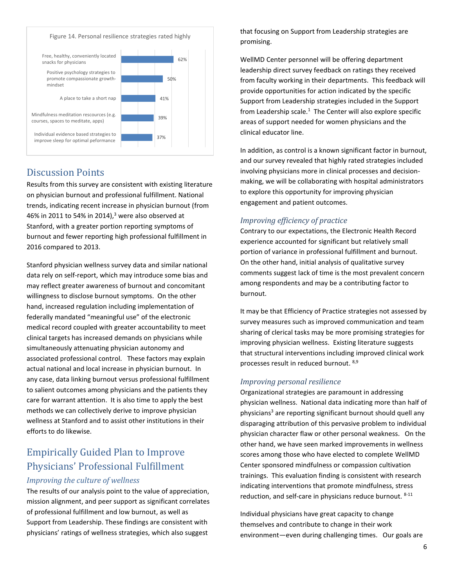Figure 14. Personal resilience strategies rated highly



## Discussion Points

Results from this survey are consistent with existing literature on physician burnout and professional fulfillment. National trends, indicating recent increase in physician burnout (from 46% in 2011 to 54% in 2014),<sup>[3](#page-7-2)</sup> were also observed at Stanford, with a greater portion reporting symptoms of burnout and fewer reporting high professional fulfillment in 2016 compared to 2013.

Stanford physician wellness survey data and similar national data rely on self-report, which may introduce some bias and may reflect greater awareness of burnout and concomitant willingness to disclose burnout symptoms. On the other hand, increased regulation including implementation of federally mandated "meaningful use" of the electronic medical record coupled with greater accountability to meet clinical targets has increased demands on physicians while simultaneously attenuating physician autonomy and associated professional control. These factors may explain actual national and local increase in physician burnout. In any case, data linking burnout versus professional fulfillment to salient outcomes among physicians and the patients they care for warrant attention. It is also time to apply the best methods we can collectively derive to improve physician wellness at Stanford and to assist other institutions in their efforts to do likewise.

# Empirically Guided Plan to Improve Physicians' Professional Fulfillment

#### *Improving the culture of wellness*

The results of our analysis point to the value of appreciation, mission alignment, and peer support as significant correlates of professional fulfillment and low burnout, as well as Support from Leadership. These findings are consistent with physicians' ratings of wellness strategies, which also suggest

that focusing on Support from Leadership strategies are promising.

WellMD Center personnel will be offering department leadership direct survey feedback on ratings they received from faculty working in their departments. This feedback will provide opportunities for action indicated by the specific Support from Leadership strategies included in the Support from Leadership scale[.](#page-7-0) $<sup>1</sup>$  The Center will also explore specific</sup> areas of support needed for women physicians and the clinical educator line.

In addition, as control is a known significant factor in burnout, and our survey revealed that highly rated strategies included involving physicians more in clinical processes and decisionmaking, we will be collaborating with hospital administrators to explore this opportunity for improving physician engagement and patient outcomes.

## *Improving efficiency of practice*

Contrary to our expectations, the Electronic Health Record experience accounted for significant but relatively small portion of variance in professional fulfillment and burnout. On the other hand, initial analysis of qualitative survey comments suggest lack of time is the most prevalent concern among respondents and may be a contributing factor to burnout.

It may be that Efficiency of Practice strategies not assessed by survey measures such as improved communication and team sharing of clerical tasks may be more promising strategies for improving physician wellness. Existing literature suggests that structural interventions including improved clinical work processes result in reduced burnout. <sup>[8,](#page-7-6)[9](#page-7-7)</sup>

## *Improving personal resilience*

Organizational strategies are paramount in addressing physician wellness. National data indicating more than half of phy[s](#page-7-2)icians<sup>3</sup> are reporting significant burnout should quell any disparaging attribution of this pervasive problem to individual physician character flaw or other personal weakness. On the other hand, we have seen marked improvements in wellness scores among those who have elected to complete WellMD Center sponsored mindfulness or compassion cultivation trainings. This evaluation finding is consistent with research indicating interventions that promote mindfulness, stress reduction, and self-care in physicians reduce burnout. [8-11](#page-7-6)

Individual physicians have great capacity to change themselves and contribute to change in their work environment—even during challenging times. Our goals are